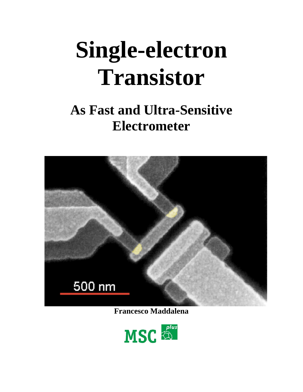# **Single-electron Transistor**

## **As Fast and Ultra-Sensitive Electrometer**



**Francesco Maddalena**

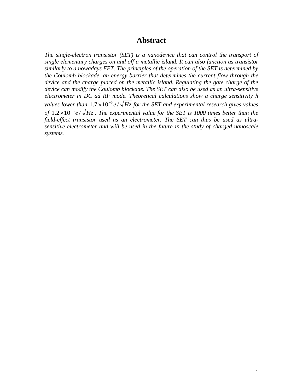#### **Abstract**

*The single-electron transistor (SET) is a nanodevice that can control the transport of single elementary charges on and off a metallic island. It can also function as transistor similarly to a nowadays FET. The principles of the operation of the SET is determined by the Coulomb blockade, an energy barrier that determines the current flow through the device and the charge placed on the metallic island. Regulating the gate charge of the device can modify the Coulomb blockade. The SET can also be used as an ultra-sensitive electrometer in DC ad RF mode. Theoretical calculations show a charge sensitivity h values lower than*  $1.7 \times 10^{-6}$  *e* /  $\sqrt{Hz}$  *for the SET and experimental research gives values of*  $1.2 \times 10^{-5} e / \sqrt{Hz}$ . The experimental value for the SET is 1000 times better than the *field-effect transistor used as an electrometer. The SET can thus be used as ultrasensitive electrometer and will be used in the future in the study of charged nanoscale systems.*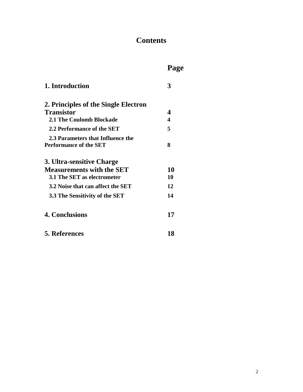## **Contents**

## **Page**

| 1. Introduction                                                    | $\mathbf 3$           |
|--------------------------------------------------------------------|-----------------------|
| 2. Principles of the Single Electron                               |                       |
| <b>Transistor</b>                                                  | 4                     |
| 2.1 The Coulomb Blockade                                           | $\boldsymbol{\Delta}$ |
| 2.2 Performance of the SET                                         | 5                     |
| 2.3 Parameters that Influence the<br><b>Performance of the SET</b> | 8                     |
| 3. Ultra-sensitive Charge                                          |                       |
| <b>Measurements with the SET</b>                                   | 10                    |
| 3.1 The SET as electrometer                                        | 10                    |
| 3.2 Noise that can affect the SET                                  | 12                    |
| 3.3 The Sensitivity of the SET                                     | 14                    |
| <b>4. Conclusions</b>                                              | 17                    |
| <b>5. References</b>                                               | 18                    |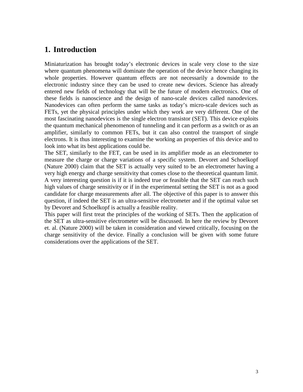#### **1. Introduction**

Miniaturization has brought today's electronic devices in scale very close to the size where quantum phenomena will dominate the operation of the device hence changing its whole properties. However quantum effects are not necessarily a downside to the electronic industry since they can be used to create new devices. Science has already entered new fields of technology that will be the future of modern electronics. One of these fields is nanoscience and the design of nano-scale devices called nanodevices. Nanodevices can often perform the same tasks as today's micro-scale devices such as FETs, yet the physical principles under which they work are very different. One of the most fascinating nanodevices is the single electron transistor (SET). This device exploits the quantum mechanical phenomenon of tunneling and it can perform as a switch or as an amplifier, similarly to common FETs, but it can also control the transport of single electrons. It is thus interesting to examine the working an properties of this device and to look into what its best applications could be.

The SET, similarly to the FET, can be used in its amplifier mode as an electrometer to measure the charge or charge variations of a specific system. Devoret and Schoelkopf (Nature 2000) claim that the SET is actually very suited to be an electrometer having a very high energy and charge sensitivity that comes close to the theoretical quantum limit. A very interesting question is if it is indeed true or feasible that the SET can reach such high values of charge sensitivity or if in the experimental setting the SET is not as a good candidate for charge measurements after all. The objective of this paper is to answer this question, if indeed the SET is an ultra-sensitive electrometer and if the optimal value set by Devoret and Schoelkopf is actually a feasible reality.

This paper will first treat the principles of the working of SETs. Then the application of the SET as ultra-sensitive electrometer will be discussed. In here the review by Devoret et. al. (Nature 2000) will be taken in consideration and viewed critically, focusing on the charge sensitivity of the device. Finally a conclusion will be given with some future considerations over the applications of the SET.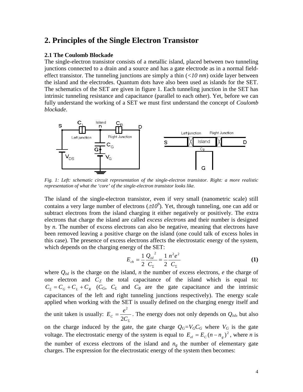#### **2. Principles of the Single Electron Transistor**

#### **2.1 The Coulomb Blockade**

The single-electron transistor consists of a metallic island, placed between two tunneling junctions connected to a drain and a source and has a gate electrode as in a normal fieldeffect transistor. The tunneling junctions are simply a thin (*<10 nm*) oxide layer between the island and the electrodes. Quantum dots have also been used as islands for the SET. The schematics of the SET are given in figure 1. Each tunneling junction in the SET has intrinsic tunneling resistance and capacitance (parallel to each other). Yet, before we can fully understand the working of a SET we must first understand the concept of *Coulomb blockade*.



*Fig. 1: Left: schematic circuit representation of the single-electron transistor. Right: a more realistic representation of what the 'core' of the single-electron transistor looks like.*

The island of the single-electron transistor, even if very small (nanometric scale) still contains a very large number of electrons ( $\leq l O^9$ ). Yet, through tunneling, one can add or subtract electrons from the island charging it either negatively or positively. The extra electrons that charge the island are called *excess electrons* and their number is designed by *n*. The number of excess electrons can also be negative, meaning that electrons have been removed leaving a positive charge on the island (one could talk of excess holes in this case). The presence of excess electrons affects the electrostatic energy of the system, which depends on the charging energy of the SET:

$$
E_{ch} = \frac{1}{2} \frac{Q_{isl}^{2}}{C_{\Sigma}} = \frac{1}{2} \frac{n^{2} e^{2}}{C_{\Sigma}}
$$
 (1)

where  $Q_{isl}$  is the charge on the island, *n* the number of excess electrons, *e* the charge of one electron and  $C_\Sigma$  the total capacitance of the island which is equal to:  $C_{\Sigma} = C_G + C_L + C_R$  (*CG*, *C<sub>L</sub>* and *C<sub>R</sub>* are the gate capacitance and the intrinsic capacitances of the left and right tunneling junctions respectively). The energy scale applied when working with the SET is usually defined on the charging energy itself and the unit taken is usually:  $E_c = \frac{e^2}{2C_{\Sigma}}$ . The energy does not only depends on *Qisl*, but also on the charge induced by the gate, the gate charge  $Q_G=V_GC_G$  where  $V_G$  is the gate voltage. The electrostatic energy of the system is equal to  $E_{el} = E_c (n - n_g)^2$ , where *n* is the number of excess electrons of the island and  $n<sub>g</sub>$  the number of elementary gate

charges. The expression for the electrostatic energy of the system then becomes: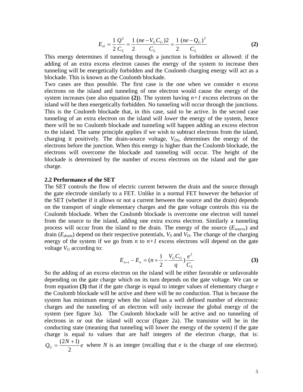$$
E_{el} = \frac{1}{2} \frac{Q^2}{C_{\Sigma}} = \frac{1}{2} \frac{(ne - V_{G}C_{G})2}{C_{\Sigma}} = \frac{1}{2} \frac{(ne - Q_{G})^2}{C_{\Sigma}}
$$
(2)

This energy determines if tunneling through a junction is forbidden or allowed: if the adding of an extra excess electron causes the energy of the system to increase then tunneling will be energetically forbidden and the Coulomb charging energy will act as a blockade. This is known as the Coulomb blockade.

Two cases are thus possible. The first case is the one when we consider *n* excess electrons on the island and tunneling of one electron would cause the energy of the system increases (see also equation  $(2)$ ). The system having  $n+1$  excess electrons on the island will be then energetically forbidden. No tunneling will occur through the junctions. This is the Coulomb blockade that, in this case, said to be active. In the second case tunneling of an extra electron on the island will *lower* the energy of the system, hence there will be no Coulomb blockade and tunneling will happen adding an excess electron to the island. The same principle applies if we wish to subtract electrons from the island, charging it positively. The drain-source voltage,  $V_{DS}$ , determines the energy of the electrons before the junction. When this energy is higher than the Coulomb blockade, the electrons will overcome the blockade and tunneling will occur. The height of the blockade is determined by the number of excess electrons on the island and the gate charge.

#### **2.2 Performance of the SET**

The SET controls the flow of electric current between the drain and the source through the gate electrode similarly to a FET. Unlike in a normal FET however the behavior of the SET (whether if it allows or not a current between the source and the drain) depends on the transport of single elementary charges and the gate voltage controls this via the Coulomb blockade. When the Coulomb blockade is overcome one electron will tunnel from the source to the island, adding one extra excess electron. Similarly a tunneling process will occur from the island to the drain. The energy of the source (*Esource*) and drain  $(E_{drain})$  depend on their respective potentials,  $V_S$  and  $V_D$ . The change of the charging energy of the system if we go from  $n$  to  $n+1$  excess electrons will depend on the gate voltage  $V_G$  according to:

$$
E_{n+1} - E_n = (n + \frac{1}{2} - \frac{V_G C_G}{q})\frac{e^2}{C_{\Sigma}}
$$
 (3)

So the adding of an excess electron on the island will be either favorable or unfavorable depending on the gate charge which on its turn depends on the gate voltage. We can se from equation **(3)** that if the gate charge is equal to integer values of elementary charge *e* the Coulomb blockade will be active and there will be no conduction. That is because the system has minimum energy when the island has a well defined number of electronic charges and the tunneling of an electron will only increase the global energy of the system (see figure 3a). The Coulomb blockade will be active and no tunneling of electrons in or out the island will occur (figure 2a). The transistor will be in the conducting state (meaning that tunneling will lower the energy of the system) if the gate charge is equal to values that are half integers of the electron charge, that is:  $Q_G = \frac{(2N+1)}{2}e$  where *N* is an integer (recalling that *e* is the charge of one electron).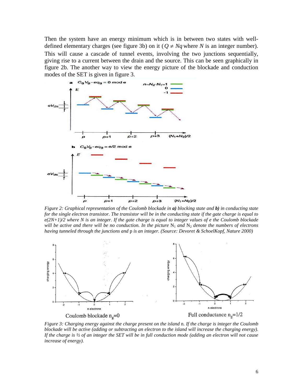Then the system have an energy minimum which is in between two states with welldefined elementary charges (see figure 3b) on it ( $Q \neq Nq$  where *N* is an integer number). This will cause a cascade of tunnel events, involving the two junctions sequentially, giving rise to a current between the drain and the source. This can be seen graphically in figure 2b. The another way to view the energy picture of the blockade and conduction modes of the SET is given in figure 3.



*Figure 2: Graphical representation of the Coulomb blockade in a) blocking state and b) in conducting state for the single electron transistor. The transistor will be in the conducting state if the gate charge is equal to e(2N+1)/2 where N is an integer. If the gate charge is equal to integer values of e the Coulomb blockade will be active and there will be no conduction. In the picture*  $N_1$  *and*  $N_2$  *denote the numbers of electrons having tunneled through the junctions and* p *is an integer. (Source: Devoret & SchoelKopf, Nature 2000)*



*Figure 3: Charging energy against the charge present on the island* n. *If the charge is integer the Coulomb blockade will be active (adding or subtracting an electron to the island will increase the charging energy). If the charge is ½ of an integer the SET will be in full conduction mode (adding an electron will not cause increase of energy).*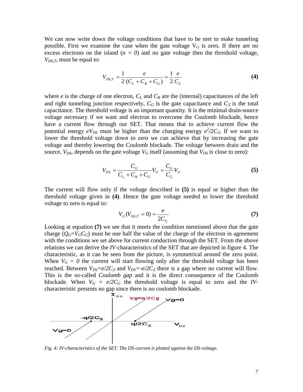We can now write down the voltage conditions that have to be met to make tunneling possible. First we examine the case when the gate voltage  $V_G$  is zero. If there are no excess electrons on the island  $(n = 0)$  and no gate voltage then the threshold voltage, *V<sub>DS,T</sub>*, must be equal to:

$$
V_{DS,T} = \frac{1}{2} \frac{e}{(C_L + C_R + C_G)} = \frac{1}{2} \frac{e}{C_{\Sigma}}
$$
(4)

where  $e$  is the charge of one electron,  $C_L$  and  $C_R$  are the (internal) capacitances of the left and right tunneling junction respectively,  $C_G$  is the gate capacitance and  $C_\Sigma$  is the total capacitance. The threshold voltage is an important quantity. It is the minimal drain-source voltage necessary if we want and electron to overcome the Coulomb blockade, hence have a current flow through our SET. That means that to achieve current flow the potential energy  $eV_{DS}$  must be higher than the charging energy  $e^2/2C_\Sigma$ . If we want to lower the threshold voltage down to zero we can achieve that by increasing the gate voltage and thereby lowering the Coulomb blockade. The voltage between drain and the source,  $V_{DS}$ , depends on the gate voltage  $V_G$  itself (assuming that  $V_{DS}$  is close to zero):

$$
V_{DS} = \frac{C_G}{C_L + C_R + C_G} V_G = \frac{C_G}{C_{\Sigma}} V_G
$$
 (5)

The current will flow only if the voltage described in **(5)** is equal or higher than the threshold voltage given in **(4)**. Hence the gate voltage needed to lower the threshold voltage to zero is equal to:

$$
V_G(V_{DS,T} = 0) = \frac{e}{2C_G}
$$
\n(7)

Looking at equation **(7)** we see that it meets the condition mentioned above that the gate charge ( $Q_G=V_GC_G$ ) must be one half the value of the charge of the electron in agreement with the conditions we set above for current conduction through the SET. From the above relations we can derive the *IV*-characteristics of the SET that are depicted in figure 4. The characteristic, as it can be seen from the picture, is symmetrical around the zero point. When  $V_G = 0$  the current will start flowing only after the threshold voltage has been reached. Between  $V_{DS} = e/2C_\Sigma$  and  $V_{DS} = -e/2C_\Sigma$  there is a gap where no current will flow. This is the so-called *Coulomb gap* and it is the direct consequence of the Coulomb blockade. When  $V_G = e/2C_G$  the threshold voltage is equal to zero and the *IV*characteristic presents no gap since there is no coulomb blockade.



*Fig. 4: IV-characteristics of the SET. The DS-current is plotted against the DS-voltage.*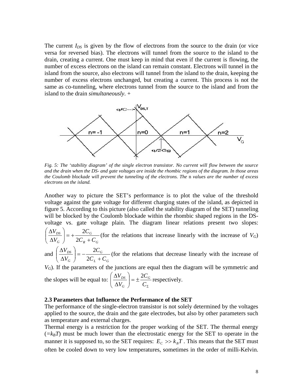The current *I<sub>DS</sub>* is given by the flow of electrons from the source to the drain (or vice versa for reversed bias). The electrons will tunnel from the source to the island to the drain, creating a current. One must keep in mind that even if the current is flowing, the number of excess electrons on the island can remain constant. Electrons will tunnel in the island from the source, also electrons will tunnel from the island to the drain, keeping the number of excess electrons unchanged, but creating a current. This process is not the same as co-tunneling, where electrons tunnel from the source to the island and from the island to the drain *simultaneously*. +



*Fig. 5: The 'stability diagram' of the single electron transistor. No current will flow between the source and the drain when the DS- and gate voltages are inside the rhombic regions of the diagram. In those areas the Coulomb blockade will prevent the tunneling of the electrons. The* n *values are the number of excess electrons on the island.*

Another way to picture the SET's performance is to plot the value of the threshold voltage against the gate voltage for different charging states of the island, as depicted in figure 5. According to this picture (also called the stability diagram of the SET) tunneling will be blocked by the Coulomb blockade within the rhombic shaped regions in the DSvoltage vs. gate voltage plain. The diagram linear relations present two slopes:

 $R$   $G$ *G G DS*  $C_R + C$ *C V*  $\left(\frac{V_{DS}}{V_G}\right)$  = +  $\frac{2C_g}{2C_g + T}$ J  $\setminus$  $\overline{\phantom{a}}$  $\setminus$ ſ  $\Delta$  $\Delta$ 2  $\frac{2C_G}{\sigma}$  (for the relations that increase linearly with the increase of *V<sub>G</sub>*)

and  $L \ \mathbf{G}$ *G G DS*  $C_L + C$ *C V*  $\left(\frac{V_{DS}}{V_G}\right) = -\frac{2C_0}{2C_L + 1}$ J  $\setminus$  $\overline{\phantom{a}}$  $\setminus$ ſ  $\Delta$  $\Delta$ 2  $\frac{2C_G}{2C_G}$  (for the relations that decrease linearly with the increase of

*V<sub>G</sub>*). If the parameters of the junctions are equal then the diagram will be symmetric and

the slopes will be equal to: 
$$
\left(\frac{\Delta V_{DS}}{\Delta V_G}\right) = \pm \frac{2C_G}{C_{\Sigma}}
$$
 respectively.

#### **2.3 Parameters that Influence the Performance of the SET**

The performance of the single-electron transistor is not solely determined by the voltages applied to the source, the drain and the gate electrodes, but also by other parameters such as temperature and external charges.

Thermal energy is a restriction for the proper working of the SET. The thermal energy  $(=k_BT)$  must be much lower than the electrostatic energy for the SET to operate in the manner it is supposed to, so the SET requires:  $E_c \gg k_B T$ . This means that the SET must often be cooled down to very low temperatures, sometimes in the order of milli-Kelvin.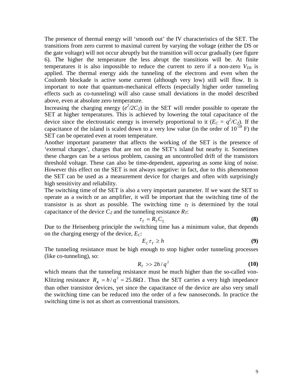The presence of thermal energy will 'smooth out' the IV characteristics of the SET. The transitions from zero current to maximal current by varying the voltage (either the DS or the gate voltage) will not occur abruptly but the transition will occur gradually (see figure 6). The higher the temperature the less abrupt the transitions will be. At finite temperatures it is also impossible to reduce the current to zero if a non-zero  $V_{DS}$  is applied. The thermal energy aids the tunneling of the electrons and even when the Coulomb blockade is active some current (although very low) still will flow. It is important to note that quantum-mechanical effects (especially higher order tunneling effects such as co-tunneling) will also cause small deviations in the model described above, even at absolute zero temperature.

Increasing the charging energy  $(e^2/2C_{\Sigma})$  in the SET will render possible to operate the SET at higher temperatures. This is achieved by lowering the total capacitance of the device since the electrostatic energy is inversely proportional to it  $(E_C = q^2/C_{\Sigma})$ . If the capacitance of the island is scaled down to a very low value (in the order of  $10^{-18}$  F) the SET can be operated even at room temperature.

Another important parameter that affects the working of the SET is the presence of 'external charges', charges that are not on the SET's island but nearby it. Sometimes these charges can be a serious problem, causing an uncontrolled drift of the transistors threshold voltage. These can also be time-dependent, appearing as some king of noise. However this effect on the SET is not always negative: in fact, due to this phenomenon the SET can be used as a measurement device for charges and often with surprisingly high sensitivity and reliability.

The switching time of the SET is also a very important parameter. If we want the SET to operate as a switch or an amplifier, it will be important that the switching time of the transistor is as short as possible. The switching time  $\tau<sub>T</sub>$  is determined by the total capacitance of the device  $C_\Sigma$  and the tunneling resistance  $R_T$ :

$$
\tau_{T} = R_{T} C_{\Sigma} \tag{8}
$$

Due to the Heisenberg principle the switching time has a minimum value, that depends on the charging energy of the device, *EC*:

$$
E_c \tau_T \ge h \tag{9}
$$

The tunneling resistance must be high enough to stop higher order tunneling processes (like co-tunneling), so:

$$
R_{T} \gg 2h/q^2 \tag{10}
$$

which means that the tunneling resistance must be much higher than the so-called von-Klitzing resistance  $R_K = h/q^2 = 25.8k\Omega$ . Thus the SET carries a very high impedance than other transistor devices, yet since the capacitance of the device are also very small the switching time can be reduced into the order of a few nanoseconds. In practice the switching time is not as short as conventional transistors.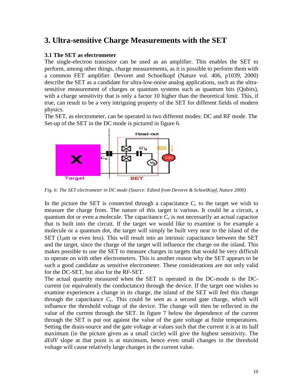#### **3. Ultra-sensitive Charge Measurements with the SET**

#### **3.1 The SET as electrometer**

The single-electron transistor can be used as an amplifier. This enables the SET to perform, among other things, charge measurements, as it is possible to perform them with a common FET amplifier. Devoret and Schoelkopf (Nature vol. 406, p1039, 2000) describe the SET as a candidate for ultra-low-noise analog applications, such as the ultrasensitive measurement of charges or quantum systems such as quantum bits (Qubits), with a charge sensitivity that is only a factor 10 higher than the theoretical limit. This, if true, can result to be a very intriguing property of the SET for different fields of modern physics.

The SET, as electrometer, can be operated in two different modes: DC and RF mode. The Set-up of the SET in the DC mode is pictured in figure 6.



*Fig. 6: The SET electrometer in DC mode (Source: Edited from Devoret & SchoelKopf, Nature 2000)*

In the picture the SET is connected through a capacitance  $C_c$  to the target we wish to measure the charge from. The nature of this target is various. It could be a circuit, a quantum dot or even a molecule. The capacitance  $C_c$  is not necessarily an actual capacitor that is built into the circuit. If the target we would like to examine is for example a molecule or a quantum dot, the target will simply be built very near to the island of the SET (1µm or even less). This will result into an intrinsic capacitance between the SET and the target, since the charge of the target will influence the charge on the island. This makes possible to use the SET to measure charges in targets that would be very difficult to operate on with other electrometers. This is another reason why the SET appears to be such a good candidate as sensitive electrometer. These considerations are not only valid for the DC-SET, but also for the RF-SET.

The actual quantity measured when the SET is operated in the DC-mode is the DCcurrent (or equivalently the conductance) through the device. If the target one wishes to examine experiences a change in its charge, the island of the SET will feel this change through the capacitance  $C_c$ . This could be seen as a second gate charge, which will influence the threshold voltage of the device. The change will then be reflected in the value of the current through the SET. In figure 7 below the dependence of the current through the SET is put out against the value of the gate voltage at finite temperatures. Setting the drain-source and the gate voltage at values such that the current it is at its half maximum (in the picture given as a small circle) will give the highest sensitivity. The *dI/dV* slope at that point is at maximum, hence even small changes in the threshold voltage will cause relatively large changes in the current value.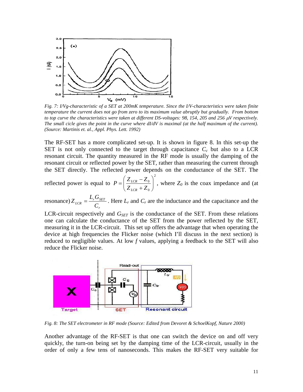

*Fig. 7: I/Vg-characteristic of a SET at 200mK temperature. Since the I/V-characteristics were taken finite temperature the current does not go from zero to its maximum value abruptly but gradually. From bottom to top curve the characteristics were taken at different DS-voltages: 98, 154, 205 and 256 µV respectively. The small cicle gives the point in the curve where dI/dV is maximal (at the half maximum of the current). (Source: Martinis et. al., Appl. Phys. Lett. 1992)*

The RF-SET has a more complicated set-up. It is shown in figure 8. In this set-up the SET is not only connected to the target through capacitance  $C_c$  but also to a LCR resonant circuit. The quantity measured in the RF mode is usually the damping of the resonant circuit or reflected power by the SET, rather than measuring the current through the SET directly. The reflected power depends on the conductance of the SET. The

reflected power is equal to 2  $\mathbf{0}$  $\frac{0}{\sqrt{2}}$ J  $\setminus$  $\overline{\phantom{a}}$  $\setminus$ ſ  $P = \left(\frac{Z_{LCR} - Z}{Z_{LCR} + Z}\right)$ *LCR*  $\left| \frac{LCR}{C} \right|$ , where  $Z_0$  is the coax impedance and (at

resonance) *r*  $_{LCR}$  =  $\frac{L_r G_{SET}}{C_r}$  $Z_{LCR} = \frac{L_r G_{SET}}{G}$ . Here  $L_r$  and  $C_r$  are the inductance and the capacitance and the

LCR-circuit respectively and  $G_{SET}$  is the conductance of the SET. From these relations one can calculate the conductance of the SET from the power reflected by the SET, measuring it in the LCR-circuit. This set up offers the advantage that when operating the device at high frequencies the Flicker noise (which I'll discuss in the next section) is reduced to negligible values. At low *f* values, applying a feedback to the SET will also reduce the Flicker noise.



*Fig. 8: The SET electrometer in RF mode (Source: Edited from Devoret & SchoelKopf, Nature 2000)*

Another advantage of the RF-SET is that one can switch the device on and off very quickly, the turn-on being set by the damping time of the LCR-circuit, usually in the order of only a few tens of nanoseconds. This makes the RF-SET very suitable for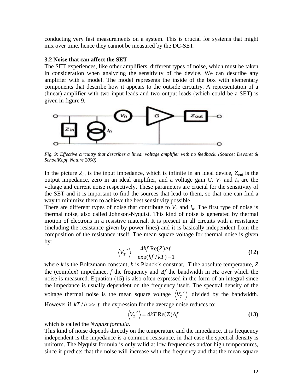conducting very fast measurements on a system. This is crucial for systems that might mix over time, hence they cannot be measured by the DC-SET.

#### **3.2 Noise that can affect the SET**

The SET experiences, like other amplifiers, different types of noise, which must be taken in consideration when analyzing the sensitivity of the device. We can describe any amplifier with a model. The model represents the inside of the box with elementary components that describe how it appears to the outside circuitry. A representation of a (linear) amplifier with two input leads and two output leads (which could be a SET) is given in figure 9.



*Fig. 9: Effective circuitry that describes a linear voltage amplifier with no feedback. (Source: Devoret & SchoelKopf, Nature 2000)*

In the picture  $Z_{in}$  is the input impedance, which is infinite in an ideal device,  $Z_{out}$  is the output impedance, zero in an ideal amplifier, and a voltage gain *G*.  $V_n$  and  $I_n$  are the voltage and current noise respectively. These parameters are crucial for the sensitivity of the SET and it is important to find the sources that lead to them, so that one can find a way to minimize them to achieve the best sensitivity possible.

There are different types of noise that contribute to  $V_n$  and  $I_n$ . The first type of noise is thermal noise, also called Johnson-Nyquist. This kind of noise is generated by thermal motion of electrons in a resistive material. It is present in all circuits with a resistance (including the resistance given by power lines) and it is basically independent from the composition of the resistance itself. The mean square voltage for thermal noise is given by:

$$
\left\langle V_r^2 \right\rangle = \frac{4hf \text{ Re}(Z)\Delta f}{\exp(hf/kT) - 1}
$$
 (12)

where *k* is the Boltzmann constant, *h* is Planck's constnat, *T* the absolute temperature, *Z* the (complex) impedance,  $f$  the frequency and  $\Delta f$  the bandwidth in Hz over which the noise is measured. Equation (15) is also often expressed in the form of an integral since the impedance is usually dependent on the frequency itself. The spectral density of the voltage thermal noise is the mean square voltage  $\langle V_T^2 \rangle$  divided by the bandwidth. However if  $kT/h \gg f$  the expression for the average noise reduces to:

$$
\langle V_T^2 \rangle = 4kT \operatorname{Re}(Z) \Delta f \tag{13}
$$

which is called the *Nyquist formula*.

This kind of noise depends directly on the temperature and the impedance. It is frequency independent is the impedance is a common resistance, in that case the spectral density is uniform. The Nyquist formula is only valid at low frequencies and/or high temperatures, since it predicts that the noise will increase with the frequency and that the mean square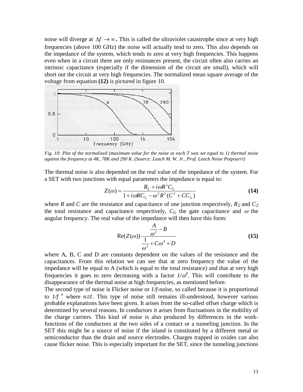noise will diverge at ∆*f* → ∞**.** This is called the ultraviolet catastrophe since at very high frequencies (above 100 GHz) the noise will actually tend to zero. This also depends on the impedance of the system, which tends to zero at very high frequencies. This happens even when in a circuit there are only resistances present, the circuit often also carries an intrinsic capacitance (especially if the dimension of the circuit are small), which will short out the circuit at very high frequencies. The normalized mean square average of the voltage from equation **(12)** is pictured in figure 10.



*Fig. 10: Plot of the normalized (maximum value for the noise at each T was set equal to 1) thermal noise against the frequency at 4K, 78K and 290 K. (Source: Leach M. W. Jr., Prof. Leach Noise Potpourri)*

The thermal noise is also depended on the real value of the impedance of the system. For a SET with two junctions with equal parameters the impedance is equal to:

$$
Z(\omega) = \frac{R_{\Sigma} + i\omega R^2 C_{\Sigma}}{1 + i\omega R C_{\Sigma} - \omega^2 R^2 (C^2 + C C_{G})}
$$
(14)

where *R* and *C* are the resistance and capacitance of one junction respectively,  $R_\Sigma$  and  $C_\Sigma$ the total resistance and capacitance respectively,  $C_G$  the gate capacitance and  $\omega$  the angular frequency. The real value of the impedance will then have this form:

$$
\operatorname{Re}(Z(\omega)) \frac{\frac{A}{\omega^2} - B}{\frac{1}{\omega^2} + C\omega^4 + D}
$$
 (15)

where A, B, C and D are constants dependent on the values of the resistance and the capacitances. From this relation we can see that at zero frequency the value of the impedance will be equal to A (which is equal to the total resistance) and that at very high frequencies it goes to zero decreasing with a factor  $I/\omega^4$ . This will contribute to the disappearance of the thermal noise at high frequencies, as mentioned before.

The second type of noise is Flicker noise or *1/f*-noise, so called because it is proportional to  $1/f''$  where  $n \geq 1$ . This type of noise still remains ill-understood, however various probable explanations have been given. It arises from the so-called offset charge which is determined by several reasons. In conductors it arises from fluctuations in the mobility of the charge carriers. This kind of noise is also produced by differences in the workfunctions of the conductors at the two sides of a contact or a tunneling junction. In the SET this might be a source of noise if the island is constituted by a different metal or semiconductor than the drain and source electrodes. Charges trapped in oxides can also cause flicker noise. This is especially important for the SET, since the tunneling junctions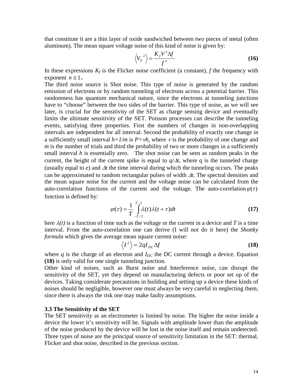that constitute it are a thin layer of oxide sandwiched between two pieces of metal (often aluminum). The mean square voltage noise of this kind of noise is given by:

$$
\left\langle V_{F}^{2} \right\rangle = \frac{K_{f} V^{2} \Delta f}{f^{n}}
$$
 (16)

In these expressions  $K_f$  is the Flicker noise coefficient (a constant),  $f$  the frequency with exponent  $n \geq 1$ .

The third noise source is Shot noise. This type of noise is generated by the random emission of electrons or by random tunneling of electrons across a potential barrier. This randomness has quantum mechanical nature, since the electrons at tunneling junctions have to "choose" between the two sides of the barrier. This type of noise, as we will see later, is crucial for the sensitivity of the SET as charge sensing device and eventually limits the ultimate sensitivity of the SET. Poisson processes can describe the tunneling events, satisfying three properties. First the numbers of changes in non-overlapping intervals are independent for all interval. Second the probability of exactly one change in a sufficiently small interval  $h=1/m$  is  $P = vh$ , where v is the probability of one change and *m* is the number of trials and third the probability of two or more changes in a sufficiently small interval *h* is essentially zero. The shot noise can be seen as random peaks in the current, the height of the current spike is equal to  $q/\Delta t$ , where q is the tunneled charge (usually equal to  $e$ ) and  $\Delta t$  the time interval during which the tunneling occurs. The peaks can be approximated to random rectangular pulses of width  $\Delta t$ . The spectral densities and the mean square noise for the current and the voltage noise can be calculated from the auto-correlation functions of the current and the voltage. The auto-correlation $\varphi(\tau)$ function is defined by:

$$
\varphi(\tau) = \frac{1}{T} \int_{-T/2}^{T/2} \lambda(t) \lambda(t + \tau) dt
$$
\n(17)

here  $\lambda(t)$  is a function of time such as the voltage or the current in a device and *T* is a time interval. From the auto-correlation one can derive (I will not do it here) the *Shottky formula* which gives the average mean square current noise:

$$
\langle I^2 \rangle = 2qI_{DC}\Delta f \tag{18}
$$

where  $q$  is the charge of an electron and  $I_{DC}$  the DC current through a device. Equation **(18)** is only valid for one single tunneling junction.

Other kind of noises, such as Burst noise and Interference noise, can disrupt the sensitivity of the SET, yet they depend on manufacturing defects or poor set up of the devices. Taking considerate precautions in building and setting up a device these kinds of noises should be negligible, however one must always be very careful in neglecting them, since there is always the risk one may make faulty assumptions.

#### **3.3 The Sensitivity of the SET**

The SET sensitivity as an electrometer is limited by noise. The higher the noise inside a device the lower it's sensitivity will be. Signals with amplitude lower than the amplitude of the noise produced by the device will be lost in the noise itself and remain undetected. Three types of noise are the principal source of sensitivity limitation in the SET: thermal, Flicker and shot noise, described in the previous section.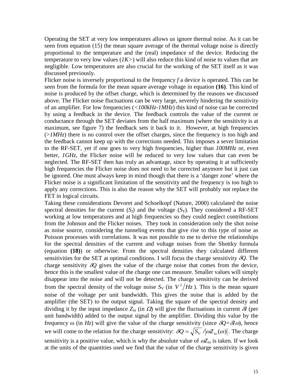Operating the SET at very low temperatures allows us ignore thermal noise. As it can be seen from equation (15) the mean square average of the thermal voltage noise is directly proportional to the temperature and the (real) impedance of the device. Reducing the temperature to very low values (*1K>*) will also reduce this kind of noise to values that are negligible. Low temperatures are also crucial for the working of the SET itself as it was discussed previously.

Flicker noise is inversely proportional to the frequency *f* a device is operated. This can be seen from the formula for the mean square average voltage in equation **(16)**. This kind of noise is produced by the offset charge, which is determined by the reasons we discussed above. The Flicker noise fluctuations can be very large, severely hindering the sensitivity of an amplifier. For low frequencies (*<100kHz-1MHz*) this kind of noise can be corrected by using a feedback in the device. The feedback controls the value of the current or conductance through the SET deviates from the half maximum (where the sensitivity is at maximum, see figure 7) the feedback sets it back to it. However, at high frequencies  $(>1MHz)$  there is no control over the offset charges, since the frequency is too high and the feedback cannot keep up with the corrections needed. This imposes a sever limitation to the RF-SET, yet if one goes to very high frequencies, higher than *100MHz* or, even better, *1GHz*, the Flicker noise will be reduced to very low values that can even be neglected. The RF-SET then has truly an advantage, since by operating it at sufficiently high frequencies the Flicker noise does not need to be corrected anymore but it just can be ignored. One must always keep in mind though that there is a 'danger zone' where the Flicker noise is a significant limitation of the sensitivity and the frequency is too high to apply any corrections. This is also the reason why the SET will probably not replace the FET in logical circuits.

Taking these considerations Devoret and Schoelkopf (Nature, 2000) calculated the noise spectral densities for the current  $(S_I)$  and the voltage  $(S_V)$ . They considered a RF-SET working at low temperatures and at high frequencies so they could neglect contributions from the Johnson and the Flicker noises. They took in consideration only the shot noise as noise source, considering the tunneling events that give rise to this type of noise as Poisson processes with correlations. It was not possible to me to derive the relationships for the spectral densities of the current and voltage noises from the Shottky formula (equation **(18)**) or otherwise. From the spectral densities they calculated different sensitivities for the SET at optimal conditions. I will focus the charge sensitivity δ*Q*. The charge sensitivity  $\delta Q$  gives the value of the charge noise that comes from the device, hence this is the smallest value of the charge one can measure. Smaller values will simply disappear into the noise and will not be detected. The charge sensitivity can be derived from the spectral density of the voltage noise  $S_V$  (in  $V^2/H_Z$ ). This is the mean square noise of the voltage per unit bandwidth. This gives the noise that is added by the amplifier (the SET) to the output signal. Taking the square of the spectral density and dividing it by the input impedance  $Z_{in}$  (in  $\Omega$ ) will give the fluctuations in current  $\delta I$  (per unit bandwidth) added to the output signal by the amplifier. Dividing this value by the frequency  $\omega$  (in *Hz*) will give the value of the charge sensitivity (since  $\delta Q = \delta I \omega$ ), hence we will come to the relation for the charge sensitivity:  $\delta Q = \sqrt{S_V}/|\omega Z_{in}(\omega)|$ . The charge sensitivity is a positive value, which is why the absolute value of  $\omega Z_{in}$  is taken. If we look at the units of the quantities used we find that the value of the charge sensitivity is given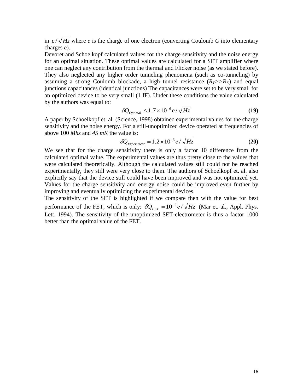in  $e/\sqrt{Hz}$  where *e* is the charge of one electron (converting Coulomb *C* into elementary charges *e*).

Devoret and Schoelkopf calculated values for the charge sensitivity and the noise energy for an optimal situation. These optimal values are calculated for a SET amplifier where one can neglect any contribution from the thermal and Flicker noise (as we stated before). They also neglected any higher order tunneling phenomena (such as co-tunneling) by assuming a strong Coulomb blockade, a high tunnel resistance  $(R_T>>R_K)$  and equal junctions capacitances (identical junctions) The capacitances were set to be very small for an optimized device to be very small (1 fF). Under these conditions the value calculated by the authors was equal to:

$$
\delta Q_{\text{optimal}} \le 1.7 \times 10^{-6} \, e / \sqrt{Hz} \tag{19}
$$

A paper by Schoelkopf et. al. (Science, 1998) obtained experimental values for the charge sensitivity and the noise energy. For a still-unoptimized device operated at frequencies of above 100 *Mhz* and *45 mK* the value is:

$$
\delta Q_{Experiment} = 1.2 \times 10^{-5} e / \sqrt{Hz}
$$
 (20)

We see that for the charge sensitivity there is only a factor 10 difference from the calculated optimal value. The experimental values are thus pretty close to the values that were calculated theoretically. Although the calculated values still could not be reached experimentally, they still were very close to them. The authors of Schoelkopf et. al. also explicitly say that the device still could have been improved and was not optimized yet. Values for the charge sensitivity and energy noise could be improved even further by improving and eventually optimizing the experimental devices.

The sensitivity of the SET is highlighted if we compare then with the value for best performance of the FET, which is only:  $\delta Q_{\text{FFT}} = 10^{-2} e / \sqrt{Hz}$  (Mar et. al., Appl. Phys. Lett. 1994). The sensitivity of the unoptimized SET-electrometer is thus a factor 1000 better than the optimal value of the FET.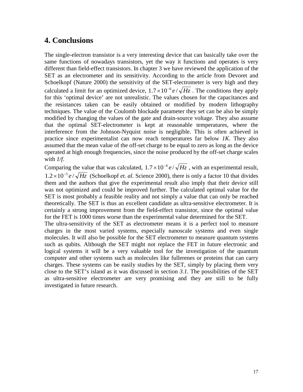#### **4. Conclusions**

The single-electron transistor is a very interesting device that can basically take over the same functions of nowadays transistors, yet the way it functions and operates is very different than field-effect transistors. In chapter 3 we have reviewed the application of the SET as an electrometer and its sensitivity. According to the article from Devoret and Schoelkopf (Nature 2000) the sensitivity of the SET-electrometer is very high and they calculated a limit for an optimized device,  $1.7 \times 10^{-6} e / \sqrt{Hz}$ . The conditions they apply for this 'optimal device' are not unrealistic. The values chosen for the capacitances and the resistances taken can be easily obtained or modified by modern lithography techniques. The value of the Coulomb blockade parameter they set can be also be simply modified by changing the values of the gate and drain-source voltage. They also assume that the optimal SET-electrometer is kept at reasonable temperatures, where the interference from the Johnson-Nyquist noise is negligible. This is often achieved in practice since experimentalist can now reach temperatures far below *1K*. They also assumed that the mean value of the off-set charge to be equal to zero as long as the device operated at high enough frequencies, since the noise produced by the off-set charge scales with *1/f*.

Comparing the value that was calculated,  $1.7 \times 10^{-6} e / \sqrt{Hz}$ , with an experimental result,  $1.2 \times 10^{-5} e / \sqrt{Hz}$  (Schoelkopf *et. al.* Science 2000), there is only a factor 10 that divides them and the authors that give the experimental result also imply that their device still was not optimized and could be improved further. The calculated optimal value for the SET is most probably a feasible reality and not simply a value that can only be reached theoretically. The SET is thus an excellent candidate as ultra-sensitive electrometer. It is certainly a strong improvement from the field-effect transistor, since the optimal value for the FET is 1000 times worse than the experimental value determined for the SET.

The ultra-sensitivity of the SET as electrometer means it is a perfect tool to measure charges in the most varied systems, especially nanoscale systems and even single molecules. It will also be possible for the SET electrometer to measure quantum systems such as qubits. Although the SET might not replace the FET in future electronic and logical systems it will be a very valuable tool for the investigation of the quantum computer and other systems such as molecules like fullerenes or proteins that can carry charges. These systems can be easily studies by the SET, simply by placing them very close to the SET's island as it was discussed in section *3.1*. The possibilities of the SET as ultra-sensitive electrometer are very promising and they are still to be fully investigated in future research.